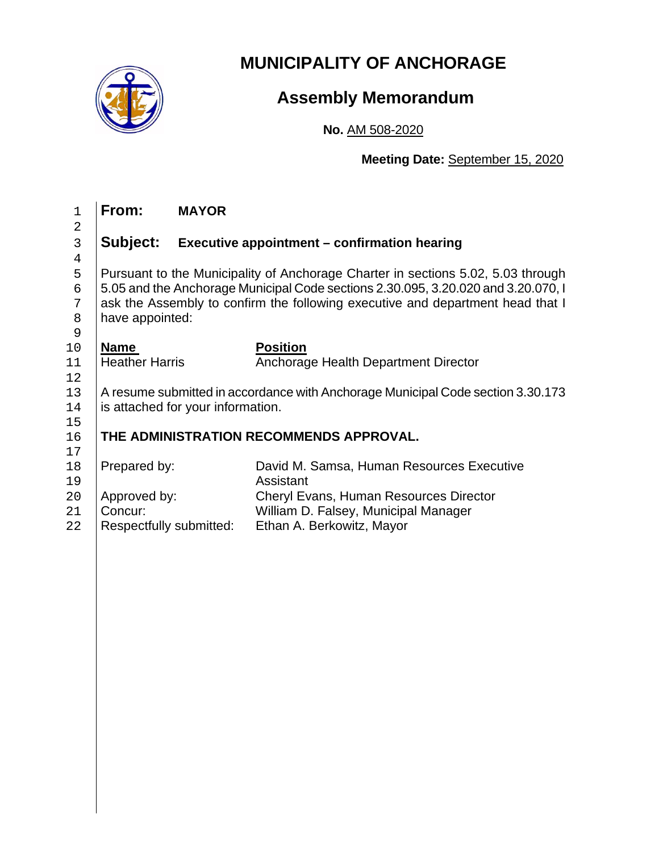

# **MUNICIPALITY OF ANCHORAGE**

## **Assembly Memorandum**

**No.** AM 508-2020

**Meeting Date:** September 15, 2020

| $\mathbf{1}$                     | From:                                                                             | <b>MAYOR</b> |                                              |  |  |
|----------------------------------|-----------------------------------------------------------------------------------|--------------|----------------------------------------------|--|--|
| $\overline{a}$<br>$\mathfrak{Z}$ | Subject:                                                                          |              | Executive appointment - confirmation hearing |  |  |
| 4                                |                                                                                   |              |                                              |  |  |
| 5                                | Pursuant to the Municipality of Anchorage Charter in sections 5.02, 5.03 through  |              |                                              |  |  |
| 6                                | 5.05 and the Anchorage Municipal Code sections 2.30.095, 3.20.020 and 3.20.070, I |              |                                              |  |  |
| 7                                | ask the Assembly to confirm the following executive and department head that I    |              |                                              |  |  |
| 8                                | have appointed:                                                                   |              |                                              |  |  |
| 9                                |                                                                                   |              |                                              |  |  |
| 10                               | <b>Name</b>                                                                       |              | <b>Position</b>                              |  |  |
| 11                               | <b>Heather Harris</b>                                                             |              | Anchorage Health Department Director         |  |  |
| 12                               |                                                                                   |              |                                              |  |  |
| 13                               | A resume submitted in accordance with Anchorage Municipal Code section 3.30.173   |              |                                              |  |  |
| 14                               | is attached for your information.                                                 |              |                                              |  |  |
| 15                               |                                                                                   |              | THE ADMINISTRATION RECOMMENDS APPROVAL.      |  |  |
| 16<br>17                         |                                                                                   |              |                                              |  |  |
| 18                               | Prepared by:                                                                      |              | David M. Samsa, Human Resources Executive    |  |  |
| 19                               |                                                                                   |              | Assistant                                    |  |  |
| 20                               | Approved by:                                                                      |              | Cheryl Evans, Human Resources Director       |  |  |
| 21                               | Concur:                                                                           |              | William D. Falsey, Municipal Manager         |  |  |
| 22                               | Respectfully submitted:                                                           |              | Ethan A. Berkowitz, Mayor                    |  |  |
|                                  |                                                                                   |              |                                              |  |  |
|                                  |                                                                                   |              |                                              |  |  |
|                                  |                                                                                   |              |                                              |  |  |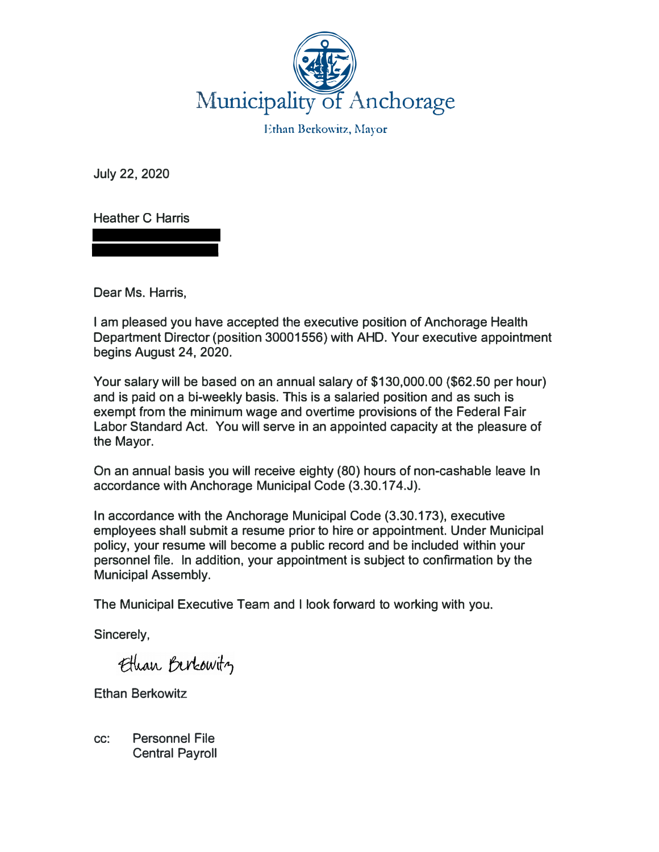

Ethan Berkowitz, Mayor

**July 22, 2020** 

**Heather C Harris** 

**Dear Ms. Harris,** 

**I am pleased you have accepted the executive position of Anchorage Health**  Department Director (position 30001556) with AHD. Your executive appointment **begins August 24, 2020.** 

**Your salary will be based on an annual salary of \$130,000.00 (\$62.50 per hour) and is paid on a bi-weekly basis. This is a salaried position and as such is exempt from the minimum wage and overtime provisions of the Federal Fair Labor Standard Act. You will serve in an appointed capacity at the pleasure of the Mayor.** 

**On an annual basis you will receive eighty (80) hours of non-cashable leave In accordance with Anchorage Municipal Code (3.30.17 4.J).** 

**In accordance with the Anchorage Municipal Code (3.30.173), executive employees shall submit a resume prior to hire or appointment. Under Municipal policy, your resume will become a public record and be included within your personnel file. In addition, your appointment is subject to confirmation by the Municipal Assembly.** 

**The Municipal Executive Team and I look forward to working with you.** 

**Sincerely,** 

Ethan Berkowitz

**Ethan Berkowitz** 

**cc: Personnel File Central Payroll**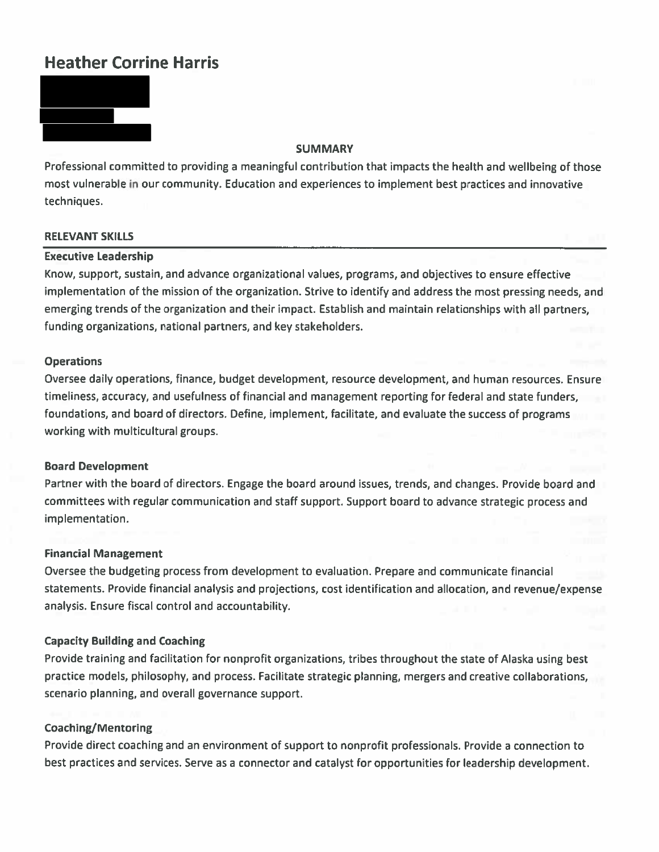## **Heather Corrine Harris**



#### **SUMMARY**

Professional committed to providing a meaningful contribution that impacts the health and wellbeing of those most vulnerable in our community. Education and experiences to implement best practices and innovative techniques.

#### **RELEVANT SKILLS**

#### **Executive Leadership**

Know, support, sustain, and advance organizational values, programs, and objectives to ensure effective implementation of the mission of the organization. Strive to identify and address the most pressing needs, and emerging trends of the organization and their impact. Establish and maintain relationships with all partners, funding organizations, national partners, and key stakeholders.

#### **Operations**

Oversee daily operations, finance, budget development, resource development, and human resources. Ensure timeliness, accuracy, and usefulness of financial and management reporting for federal and state funders, foundations, and board of directors. Define, implement, facilitate, and evaluate the success of programs working with multicultural groups.

#### **Board Development**

Partner with the board of directors. Engage the board around issues, trends, and changes. Provide board and committees with regular communication and staff support. Support board to advance strategic process and implementation.

#### **Financial Management**

Oversee the budgeting process from development to evaluation. Prepare and communicate financial statements. Provide financial analysis and projections, cost identification and allocation, and revenue/expense analysis. Ensure fiscal control and accountability.

#### **Capacity Building and Coaching**

Provide training and facilitation for nonprofit organizations, tribes throughout the state of Alaska using best practice models, philosophy, and process. Facilitate strategic planning, mergers and creative collaborations, scenario planning, and overall governance support.

#### **Coaching/Mentoring**

Provide direct coaching and an environment of support to nonprofit professionals. Provide a connection to best practices and services. Serve as a connector and catalyst for opportunities for leadership development.